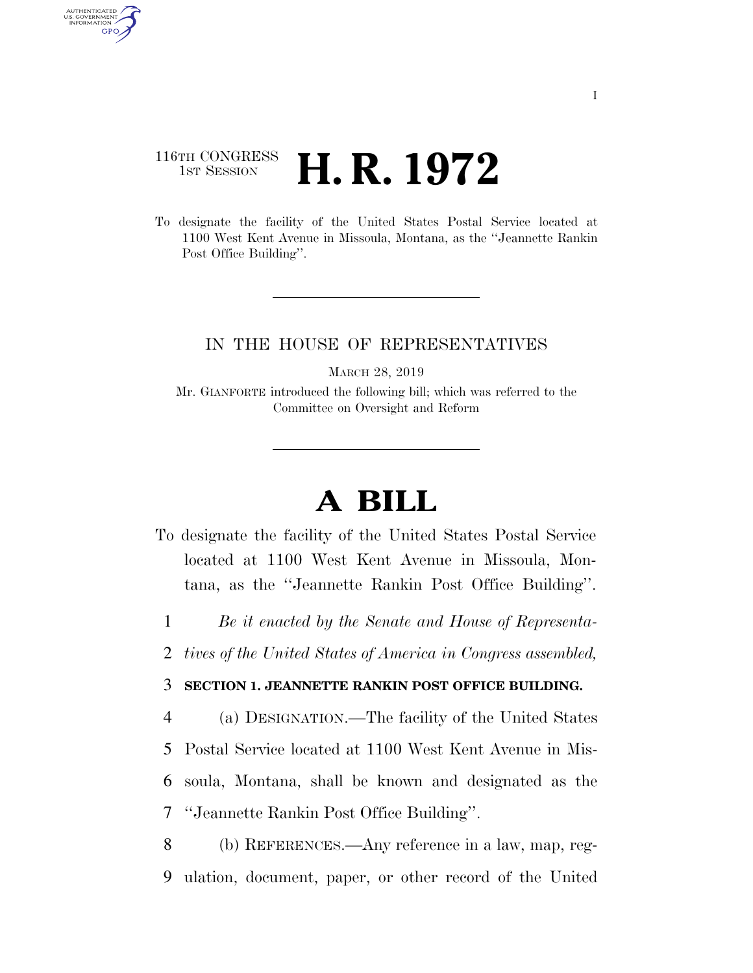## 116TH CONGRESS **1st Session H. R. 1972**

AUTHENTICATED U.S. GOVERNMENT GPO

> To designate the facility of the United States Postal Service located at 1100 West Kent Avenue in Missoula, Montana, as the ''Jeannette Rankin Post Office Building''.

## IN THE HOUSE OF REPRESENTATIVES

MARCH 28, 2019

Mr. GIANFORTE introduced the following bill; which was referred to the Committee on Oversight and Reform

## **A BILL**

- To designate the facility of the United States Postal Service located at 1100 West Kent Avenue in Missoula, Montana, as the ''Jeannette Rankin Post Office Building''.
	- 1 *Be it enacted by the Senate and House of Representa-*
- 2 *tives of the United States of America in Congress assembled,*

## 3 **SECTION 1. JEANNETTE RANKIN POST OFFICE BUILDING.**

 (a) DESIGNATION.—The facility of the United States Postal Service located at 1100 West Kent Avenue in Mis- soula, Montana, shall be known and designated as the ''Jeannette Rankin Post Office Building''.

8 (b) REFERENCES.—Any reference in a law, map, reg-9 ulation, document, paper, or other record of the United